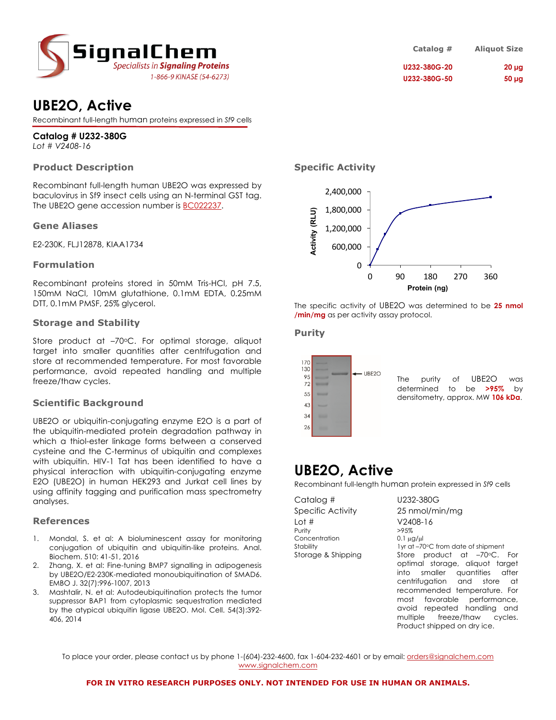

## **UBE2O, Active**

Recombinant full-length human proteins expressed in *Sf9* cells

### **Catalog # U232-380G**

*Lot # V2408-16*

#### **Product Description**

Recombinant full-length human UBE2O was expressed by baculovirus in Sf9 insect cells using an N-terminal GST tag. The UBE2O gene accession number is BC022237.

#### **Gene Aliases**

E2-230K, FLJ12878, KIAA1734

#### **Formulation**

Recombinant proteins stored in 50mM Tris-HCl, pH 7.5, 150mM NaCl, 10mM glutathione, 0.1mM EDTA, 0.25mM DTT, 0.1mM PMSF, 25% glycerol.

#### **Storage and Stability**

Store product at -70°C. For optimal storage, aliquot target into smaller quantities after centrifugation and store at recommended temperature. For most favorable performance, avoid repeated handling and multiple freeze/thaw cycles.

#### **Scientific Background**

UBE2O or ubiquitin-conjugating enzyme E2O is a part of the ubiquitin-mediated protein degradation pathway in which a thiol-ester linkage forms between a conserved cysteine and the C-terminus of ubiquitin and complexes with ubiquitin. HIV-1 Tat has been identified to have a physical interaction with ubiquitin-conjugating enzyme E2O (UBE2O) in human HEK293 and Jurkat cell lines by using affinity tagging and purification mass spectrometry analyses.

#### **References**

- 1. Mondal, S. et al: A bioluminescent assay for monitoring conjugation of ubiquitin and ubiquitin-like proteins. Anal. Biochem. 510: 41-51, 2016
- 2. Zhang, X. et al: Fine-tuning BMP7 signalling in adipogenesis by UBE2O/E2-230K-mediated monoubiquitination of SMAD6. EMBO J. 32(7):996-1007, 2013
- 3. Mashtalir, N. et al: Autodeubiquitination protects the tumor suppressor BAP1 from cytoplasmic sequestration mediated by the atypical ubiquitin ligase UBE2O. Mol. Cell. 54(3):392- 406, 2014

| Catalog #    | <b>Aliquot Size</b> |
|--------------|---------------------|
| U232-380G-20 | $20 \mu$ g          |
| U232-380G-50 | $50 \mu g$          |

#### **Specific Activity**



The specific activity of UBE2O was determined to be **25 nmol /min/mg** as per activity assay protocol.

#### **Purity**



The purity of UBE2O was determined to be **>95%** by densitometry, approx. MW **106 kDa**.

multiple freeze/thaw cycles. Product shipped on dry ice.

### **UBE2O, Active**

Recombinant full-length human protein expressed in *Sf9* cells

| Catalog #          | U232-380G                          |
|--------------------|------------------------------------|
| Specific Activity  | 25 nmol/min/mg                     |
| Lot #              | $V2408-16$                         |
| Purity             | >95%                               |
| Concentration      | $0.1 \mu g / \mu$                  |
| Stability          | 1yr at -70°C from date of shipment |
| Storage & Shipping | Store product at $-70$ C. For      |
|                    | optimal storage, aliquot target    |
|                    | into smaller quantities after      |
|                    | centrifugation and store at        |
|                    | recommended temperature. For       |
|                    | most favorable performance,        |
|                    | avoid repeated handling and        |

To place your order, please contact us by phone 1-(604)-232-4600, fax 1-604-232-4601 or by email: orders@signalchem.com www.signalchem.com